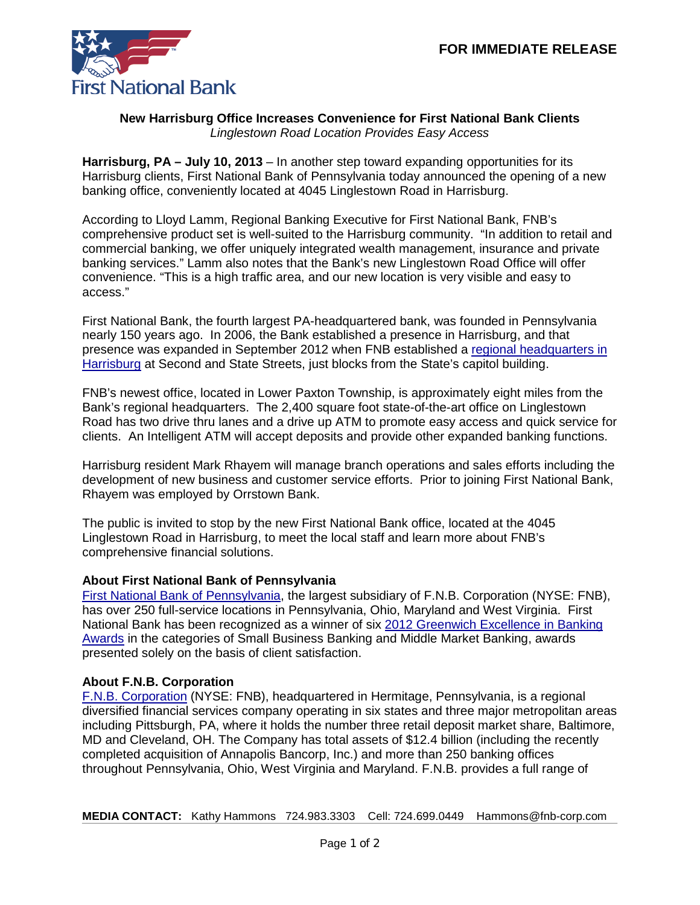

## **New Harrisburg Office Increases Convenience for First National Bank Clients** *Linglestown Road Location Provides Easy Access*

**Harrisburg, PA – July 10, 2013** – In another step toward expanding opportunities for its Harrisburg clients, First National Bank of Pennsylvania today announced the opening of a new banking office, conveniently located at 4045 Linglestown Road in Harrisburg.

According to Lloyd Lamm, Regional Banking Executive for First National Bank, FNB's comprehensive product set is well-suited to the Harrisburg community. "In addition to retail and commercial banking, we offer uniquely integrated wealth management, insurance and private banking services." Lamm also notes that the Bank's new Linglestown Road Office will offer convenience. "This is a high traffic area, and our new location is very visible and easy to access."

First National Bank, the fourth largest PA-headquartered bank, was founded in Pennsylvania nearly 150 years ago. In 2006, the Bank established a presence in Harrisburg, and that presence was expanded in September 2012 when FNB established a [regional headquarters in](https://www.fnb-online.com/News/2012/September/September132012-3.aspx)  [Harrisburg](https://www.fnb-online.com/News/2012/September/September132012-3.aspx) at Second and State Streets, just blocks from the State's capitol building.

FNB's newest office, located in Lower Paxton Township, is approximately eight miles from the Bank's regional headquarters. The 2,400 square foot state-of-the-art office on Linglestown Road has two drive thru lanes and a drive up ATM to promote easy access and quick service for clients. An Intelligent ATM will accept deposits and provide other expanded banking functions.

Harrisburg resident Mark Rhayem will manage branch operations and sales efforts including the development of new business and customer service efforts. Prior to joining First National Bank, Rhayem was employed by Orrstown Bank.

The public is invited to stop by the new First National Bank office, located at the 4045 Linglestown Road in Harrisburg, to meet the local staff and learn more about FNB's comprehensive financial solutions.

## **About First National Bank of Pennsylvania**

[First National Bank of Pennsylvania,](https://www.fnb-online.com/) the largest subsidiary of F.N.B. Corporation (NYSE: FNB), has over 250 full-service locations in Pennsylvania, Ohio, Maryland and West Virginia. First National Bank has been recognized as a winner of six [2012 Greenwich Excellence in Banking](https://www.fnb-online.com/News/2013/February/February212013.aspx) [Awards](https://www.fnb-online.com/News/2013/February/February212013.aspx) in the categories of Small Business Banking and Middle Market Banking, awards presented solely on the basis of client satisfaction.

## **About F.N.B. Corporation**

[F.N.B. Corporation](http://www.fnbcorporation.com/) (NYSE: FNB), headquartered in Hermitage, Pennsylvania, is a regional diversified financial services company operating in six states and three major metropolitan areas including Pittsburgh, PA, where it holds the number three retail deposit market share, Baltimore, MD and Cleveland, OH. The Company has total assets of \$12.4 billion (including the recently completed acquisition of Annapolis Bancorp, Inc.) and more than 250 banking offices throughout Pennsylvania, Ohio, West Virginia and Maryland. F.N.B. provides a full range of

**MEDIA CONTACT:** Kathy Hammons 724.983.3303 Cell: 724.699.0449 Hammons@fnb-corp.com